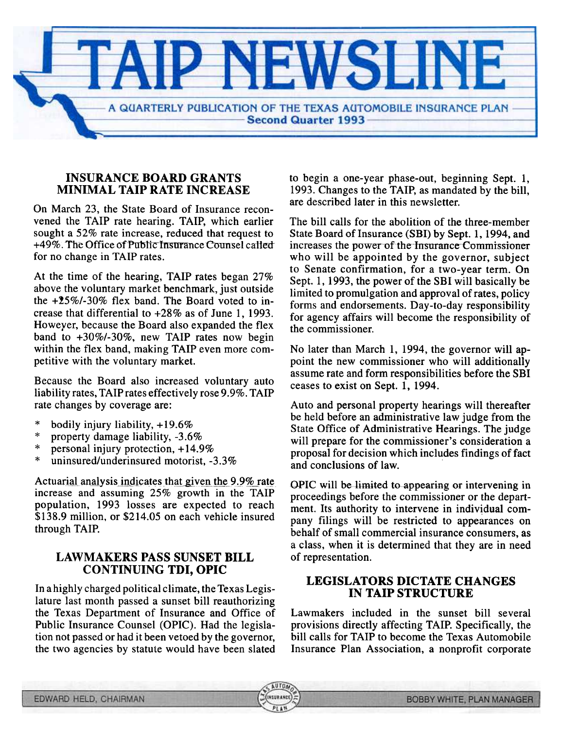

**AUTO** 

**INSURANC** 

### INSURANCE BOARD GRANTS MINIMAL TAIP RATE INCREASE

are described later in this newsletter. On March 23, the State Board of Insurance reconvened the TAIP rate hearing. TAIP, which earlier sought a 52% rate increase, reduced that request to +49%. The Office of Public Insurance Counsel called for no change in TAIP rates.

At the time of the hearing, TAIP rates began 27% above the voluntary market benchmark, just outside the  $+25\%$ /-30% flex band. The Board voted to increase that differential to +28% as of June 1, 1993. Howeyer, because the Board also expanded the flex band to +30%/-30%, new TAIP rates now begin within the flex band, making TAIP even more competitive with the voluntary market.

Because the Board also increased voluntary auto ceases to exist on Sept. 1, 1994. liability rates, TAIPrates effectively rose 9.9%. TAIP rate changes by coverage are: Auto and personal property hearings will thereafter

- \* bodily injury liability,  $+19.6%$
- \* property damage liability, -3.6%
- \* personal injury protection, + 14.9%
- \* uninsured/underinsured motorist, -3.3%

Actuarial analysis indicates that given the  $9.9\%$  rate increase and assuming 25% growth in the TAIP population, 1993 losses are expected to reach \$138.9 million, or \$214.05 on each vehicle insured through TAIP.

#### LAWMAKERS PASS SUNSET BILL of representation. CONTINUING TDI, OPIC

In a highly charged political climate, the Texas Legislature last month passed a sunset bill reauthorizing the Texas Department of Insurance and Office of Public Insurance Counsel (OPIC). Had the legislation not passed or had it been vetoed by the governor, the two agencies by statute would have been slated to begin a one-year phase-out, beginning Sept. 1, 1993. Changes to the TAIP, as mandated by the bill,

The bill calls for the abolition of the three-member State Board of Insurance (SBI) by Sept. 1,1994, and increases the power of the Insurance Commissioner who will be appointed by the governor, subject to Senate confirmation, for a two-year term. On Sept. 1, 1993, the power of the SBI will basically be limited to promulgation and approval of rates, policy forms and endorsements. Day-to-day responsibility for agency affairs will become the responsibility of the commissioner.

No later than March 1, 1994, the governor will appoint the new commissioner who will additionally assume rate and form responsibilities before the SBI

be held before an administrative law judge from the State Office of Administrative Hearings. The judge will prepare for the commissioner's consideration a proposal for decision which includes findings of fact and conclusions of law.

OPIC will be-limited to appearing or intervening in proceedings before the commissioner or the department. Its authority to intervene in individual company filings will be restricted to appearances on behalf of small commercial insurance consumers, as a class, when it is determined that they are in need

# LEGISLATORS DICTATE CHANGES<br>IN TAIP STRUCTURE

Lawmakers included in the sunset bill several provisions directly affecting TAIP. Specifically, the bill calls for TAIP to become the Texas Automobile Insurance Plan Association, a nonprofit corporate